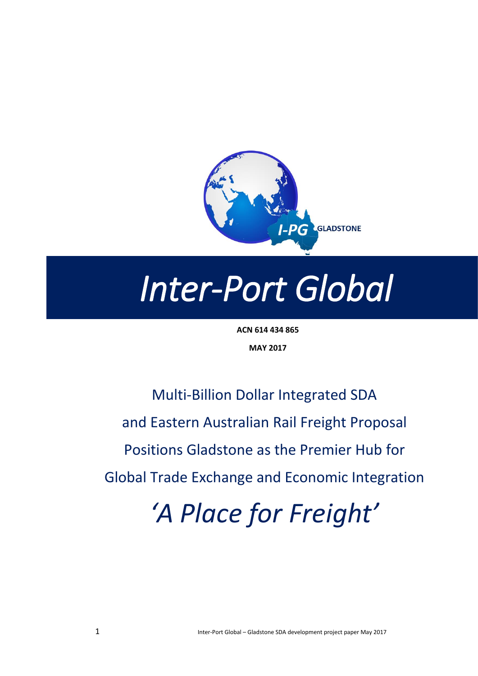

# *Inter-Port Global*

**ACN 614 434 865 MAY 2017**

Multi-Billion Dollar Integrated SDA and Eastern Australian Rail Freight Proposal Positions Gladstone as the Premier Hub for Global Trade Exchange and Economic Integration

*'A Place for Freight'*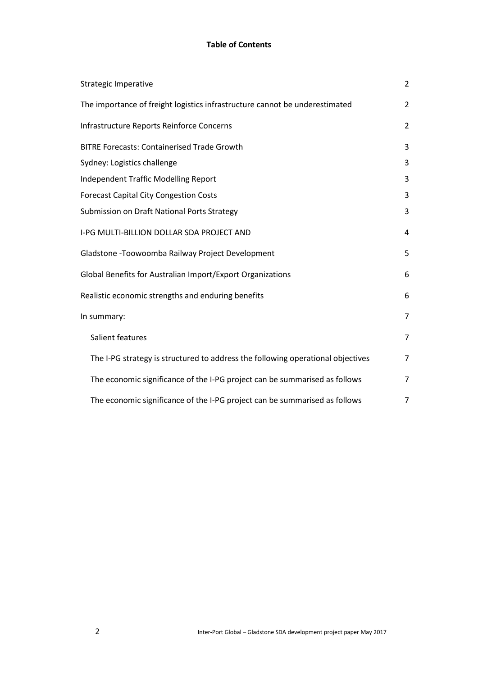#### **Table of Contents**

| Strategic Imperative                                                            | $\overline{2}$ |
|---------------------------------------------------------------------------------|----------------|
| The importance of freight logistics infrastructure cannot be underestimated     | 2              |
| Infrastructure Reports Reinforce Concerns                                       | $\overline{2}$ |
| <b>BITRE Forecasts: Containerised Trade Growth</b>                              | 3              |
| Sydney: Logistics challenge                                                     | 3              |
| <b>Independent Traffic Modelling Report</b>                                     | 3              |
| <b>Forecast Capital City Congestion Costs</b>                                   | 3              |
| Submission on Draft National Ports Strategy                                     | 3              |
| I-PG MULTI-BILLION DOLLAR SDA PROJECT AND                                       | 4              |
| Gladstone - Toowoomba Railway Project Development                               | 5              |
| Global Benefits for Australian Import/Export Organizations                      | 6              |
| Realistic economic strengths and enduring benefits                              | 6              |
| In summary:                                                                     | 7              |
| Salient features                                                                | 7              |
| The I-PG strategy is structured to address the following operational objectives | $\overline{7}$ |
| The economic significance of the I-PG project can be summarised as follows      | 7              |
| The economic significance of the I-PG project can be summarised as follows      | 7              |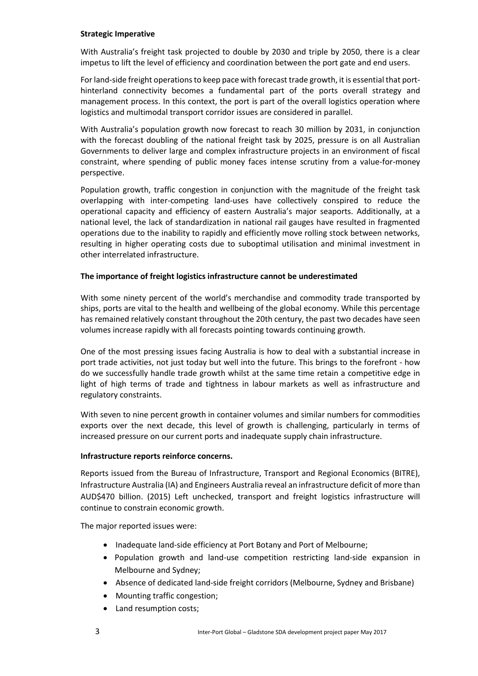#### **Strategic Imperative**

With Australia's freight task projected to double by 2030 and triple by 2050, there is a clear impetus to lift the level of efficiency and coordination between the port gate and end users.

For land-side freight operations to keep pace with forecast trade growth, it is essential that porthinterland connectivity becomes a fundamental part of the ports overall strategy and management process. In this context, the port is part of the overall logistics operation where logistics and multimodal transport corridor issues are considered in parallel.

With Australia's population growth now forecast to reach 30 million by 2031, in conjunction with the forecast doubling of the national freight task by 2025, pressure is on all Australian Governments to deliver large and complex infrastructure projects in an environment of fiscal constraint, where spending of public money faces intense scrutiny from a value-for-money perspective.

Population growth, traffic congestion in conjunction with the magnitude of the freight task overlapping with inter-competing land-uses have collectively conspired to reduce the operational capacity and efficiency of eastern Australia's major seaports. Additionally, at a national level, the lack of standardization in national rail gauges have resulted in fragmented operations due to the inability to rapidly and efficiently move rolling stock between networks, resulting in higher operating costs due to suboptimal utilisation and minimal investment in other interrelated infrastructure.

#### **The importance of freight logistics infrastructure cannot be underestimated**

With some ninety percent of the world's merchandise and commodity trade transported by ships, ports are vital to the health and wellbeing of the global economy. While this percentage has remained relatively constant throughout the 20th century, the past two decades have seen volumes increase rapidly with all forecasts pointing towards continuing growth.

One of the most pressing issues facing Australia is how to deal with a substantial increase in port trade activities, not just today but well into the future. This brings to the forefront - how do we successfully handle trade growth whilst at the same time retain a competitive edge in light of high terms of trade and tightness in labour markets as well as infrastructure and regulatory constraints.

With seven to nine percent growth in container volumes and similar numbers for commodities exports over the next decade, this level of growth is challenging, particularly in terms of increased pressure on our current ports and inadequate supply chain infrastructure.

#### **Infrastructure reports reinforce concerns.**

Reports issued from the Bureau of Infrastructure, Transport and Regional Economics (BITRE), Infrastructure Australia (IA) and Engineers Australia reveal an infrastructure deficit of more than AUD\$470 billion. (2015) Left unchecked, transport and freight logistics infrastructure will continue to constrain economic growth.

The major reported issues were:

- Inadequate land-side efficiency at Port Botany and Port of Melbourne;
- Population growth and land-use competition restricting land-side expansion in Melbourne and Sydney;
- Absence of dedicated land-side freight corridors (Melbourne, Sydney and Brisbane)
- Mounting traffic congestion;
- Land resumption costs;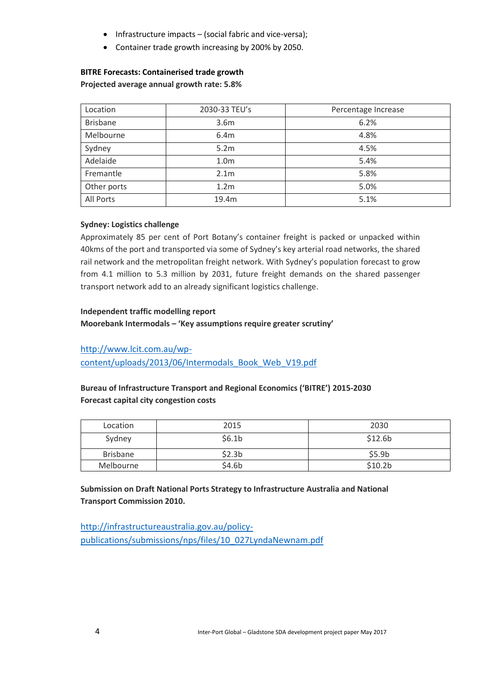- $\bullet$  Infrastructure impacts (social fabric and vice-versa);
- Container trade growth increasing by 200% by 2050.

#### **BITRE Forecasts: Containerised trade growth Projected average annual growth rate: 5.8%**

| Location        | 2030-33 TEU's    | Percentage Increase |
|-----------------|------------------|---------------------|
| <b>Brisbane</b> | 3.6m             | 6.2%                |
| Melbourne       | 6.4m             | 4.8%                |
| Sydney          | 5.2m             | 4.5%                |
| Adelaide        | 1.0 <sub>m</sub> | 5.4%                |
| Fremantle       | 2.1 <sub>m</sub> | 5.8%                |
| Other ports     | 1.2 <sub>m</sub> | 5.0%                |
| All Ports       | 19.4m            | 5.1%                |

#### **Sydney: Logistics challenge**

Approximately 85 per cent of Port Botany's container freight is packed or unpacked within 40kms of the port and transported via some of Sydney's key arterial road networks, the shared rail network and the metropolitan freight network. With Sydney's population forecast to grow from 4.1 million to 5.3 million by 2031, future freight demands on the shared passenger transport network add to an already significant logistics challenge.

#### **Independent traffic modelling report**

#### **Moorebank Intermodals – 'Key assumptions require greater scrutiny'**

[http://www.lcit.com.au/wp-](http://www.lcit.com.au/wp-content/uploads/2013/06/Intermodals_Book_Web_V19.pdf)

[content/uploads/2013/06/Intermodals\\_Book\\_Web\\_V19.pdf](http://www.lcit.com.au/wp-content/uploads/2013/06/Intermodals_Book_Web_V19.pdf)

#### **Bureau of Infrastructure Transport and Regional Economics ('BITRE') 2015-2030 Forecast capital city congestion costs**

| Location        | 2015               | 2030                |
|-----------------|--------------------|---------------------|
| Sydney          | \$6.1 <sub>b</sub> | \$12.6b             |
| <b>Brisbane</b> | \$2.3 <sub>b</sub> | \$5.9 <sub>b</sub>  |
| Melbourne       | \$4.6b             | \$10.2 <sub>b</sub> |

#### **Submission on Draft National Ports Strategy to Infrastructure Australia and National Transport Commission 2010.**

[http://infrastructureaustralia.gov.au/policy](http://infrastructureaustralia.gov.au/policy-publications/submissions/nps/files/10_027LyndaNewnam.pdf)[publications/submissions/nps/files/10\\_027LyndaNewnam.pdf](http://infrastructureaustralia.gov.au/policy-publications/submissions/nps/files/10_027LyndaNewnam.pdf)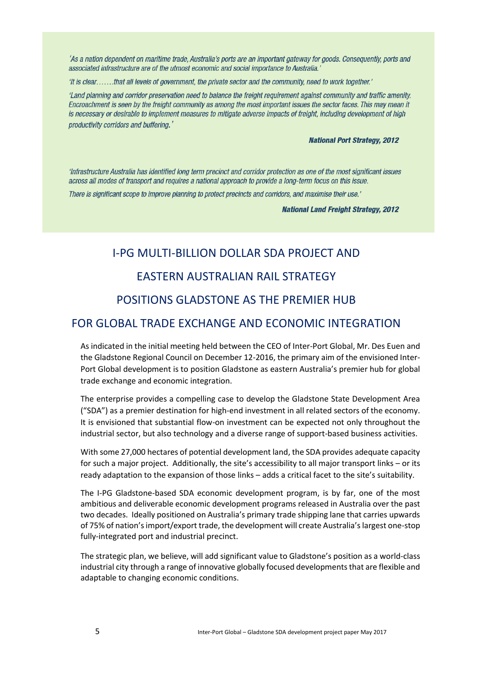'As a nation dependent on maritime trade. Australia's ports are an important gateway for goods. Consequently, ports and associated infrastructure are of the utmost economic and social importance to Australia.'

'It is clear.......that all levels of government, the private sector and the community, need to work together.'

'Land planning and corridor preservation need to balance the freight requirement against community and traffic amenity. Encroachment is seen by the freight community as among the most important issues the sector faces. This may mean it is necessary or desirable to implement measures to mitigate adverse impacts of freight, including development of high productivity corridors and buffering.'

#### **National Port Strategy, 2012**

'Infrastructure Australia has identified long term precinct and corridor protection as one of the most significant issues across all modes of transport and requires a national approach to provide a long-term focus on this issue.

There is significant scope to improve planning to protect precincts and corridors, and maximise their use.'

**National Land Freight Strategy, 2012** 

# I-PG MULTI-BILLION DOLLAR SDA PROJECT AND EASTERN AUSTRALIAN RAIL STRATEGY POSITIONS GLADSTONE AS THE PREMIER HUB

### FOR GLOBAL TRADE EXCHANGE AND ECONOMIC INTEGRATION

As indicated in the initial meeting held between the CEO of Inter-Port Global, Mr. Des Euen and the Gladstone Regional Council on December 12-2016, the primary aim of the envisioned Inter-Port Global development is to position Gladstone as eastern Australia's premier hub for global trade exchange and economic integration.

The enterprise provides a compelling case to develop the Gladstone State Development Area ("SDA") as a premier destination for high-end investment in all related sectors of the economy. It is envisioned that substantial flow-on investment can be expected not only throughout the industrial sector, but also technology and a diverse range of support-based business activities.

With some 27,000 hectares of potential development land, the SDA provides adequate capacity for such a major project. Additionally, the site's accessibility to all major transport links – or its ready adaptation to the expansion of those links – adds a critical facet to the site's suitability.

The I-PG Gladstone-based SDA economic development program, is by far, one of the most ambitious and deliverable economic development programs released in Australia over the past two decades. Ideally positioned on Australia's primary trade shipping lane that carries upwards of 75% of nation's import/export trade, the development will create Australia's largest one-stop fully-integrated port and industrial precinct.

The strategic plan, we believe, will add significant value to Gladstone's position as a world-class industrial city through a range of innovative globally focused developments that are flexible and adaptable to changing economic conditions.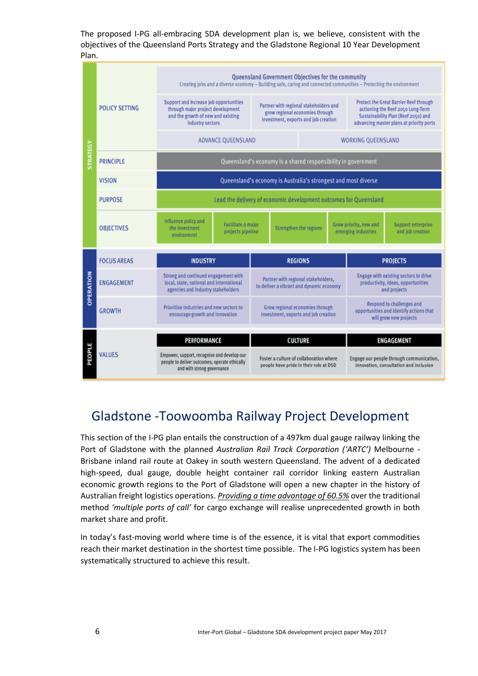The proposed I-PG all-embracing SDA development plan is, we believe, consistent with the objectives of the Queensland Ports Strategy and the Gladstone Regional 10 Year Development Plan.



## Gladstone -Toowoomba Railway Project Development

This section of the I-PG plan entails the construction of a 497km dual gauge railway linking the Port of Gladstone with the planned *Australian Rail Track Corporation ('ARTC')* Melbourne - Brisbane inland rail route at Oakey in south western Queensland. The advent of a dedicated high-speed, dual gauge, double height container rail corridor linking eastern Australian economic growth regions to the Port of Gladstone will open a new chapter in the history of Australian freight logistics operations. *Providing a time advantage of 60.5%* over the traditional method *'multiple ports of call'* for cargo exchange will realise unprecedented growth in both market share and profit.

In today's fast-moving world where time is of the essence, it is vital that export commodities reach their market destination in the shortest time possible. The I-PG logistics system has been systematically structured to achieve this result.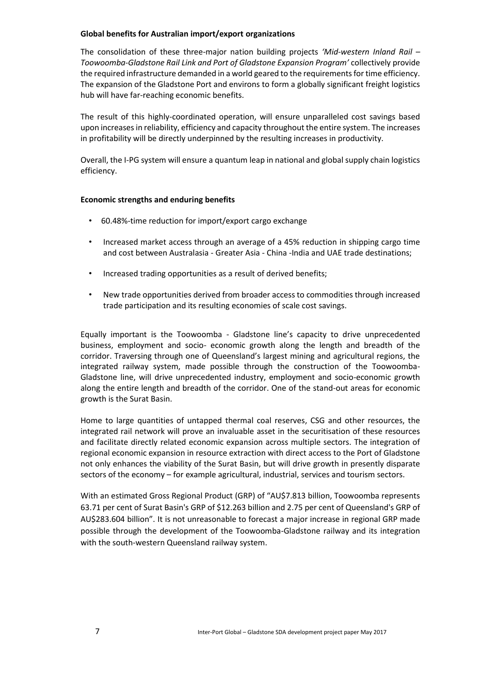#### **Global benefits for Australian import/export organizations**

The consolidation of these three-major nation building projects *'Mid-western Inland Rail – Toowoomba-Gladstone Rail Link and Port of Gladstone Expansion Program'* collectively provide the required infrastructure demanded in a world geared to the requirements for time efficiency. The expansion of the Gladstone Port and environs to form a globally significant freight logistics hub will have far-reaching economic benefits.

The result of this highly-coordinated operation, will ensure unparalleled cost savings based upon increases in reliability, efficiency and capacity throughout the entire system. The increases in profitability will be directly underpinned by the resulting increases in productivity.

Overall, the I-PG system will ensure a quantum leap in national and global supply chain logistics efficiency.

#### **Economic strengths and enduring benefits**

- 60.48%-time reduction for import/export cargo exchange
- Increased market access through an average of a 45% reduction in shipping cargo time and cost between Australasia - Greater Asia - China -India and UAE trade destinations;
- Increased trading opportunities as a result of derived benefits;
- New trade opportunities derived from broader access to commodities through increased trade participation and its resulting economies of scale cost savings.

Equally important is the Toowoomba - Gladstone line's capacity to drive unprecedented business, employment and socio- economic growth along the length and breadth of the corridor. Traversing through one of Queensland's largest mining and agricultural regions, the integrated railway system, made possible through the construction of the Toowoomba-Gladstone line, will drive unprecedented industry, employment and socio-economic growth along the entire length and breadth of the corridor. One of the stand-out areas for economic growth is the Surat Basin.

Home to large quantities of untapped thermal coal reserves, CSG and other resources, the integrated rail network will prove an invaluable asset in the securitisation of these resources and facilitate directly related economic expansion across multiple sectors. The integration of regional economic expansion in resource extraction with direct access to the Port of Gladstone not only enhances the viability of the Surat Basin, but will drive growth in presently disparate sectors of the economy – for example agricultural, industrial, services and tourism sectors.

With an estimated Gross Regional Product (GRP) of "AU\$7.813 billion, Toowoomba represents 63.71 per cent of Surat Basin's GRP of \$12.263 billion and 2.75 per cent of Queensland's GRP of AU\$283.604 billion". It is not unreasonable to forecast a major increase in regional GRP made possible through the development of the Toowoomba-Gladstone railway and its integration with the south-western Queensland railway system.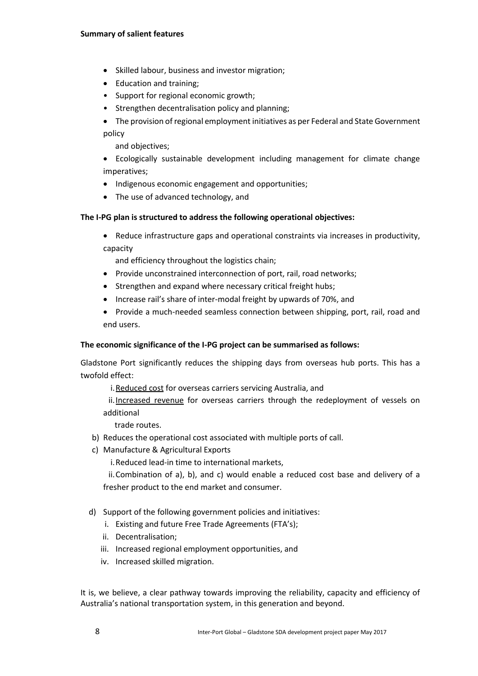#### **Summary of salient features**

- Skilled labour, business and investor migration;
- Education and training;
- Support for regional economic growth;
- Strengthen decentralisation policy and planning;
- The provision of regional employment initiatives as per Federal and State Government policy

and objectives;

- Ecologically sustainable development including management for climate change imperatives;
- Indigenous economic engagement and opportunities;
- The use of advanced technology, and

#### **The I-PG plan is structured to address the following operational objectives:**

 Reduce infrastructure gaps and operational constraints via increases in productivity, capacity

and efficiency throughout the logistics chain;

- Provide unconstrained interconnection of port, rail, road networks;
- Strengthen and expand where necessary critical freight hubs;
- Increase rail's share of inter-modal freight by upwards of 70%, and
- Provide a much-needed seamless connection between shipping, port, rail, road and end users.

#### **The economic significance of the I-PG project can be summarised as follows:**

Gladstone Port significantly reduces the shipping days from overseas hub ports. This has a twofold effect:

i. Reduced cost for overseas carriers servicing Australia, and

ii.Increased revenue for overseas carriers through the redeployment of vessels on additional

trade routes.

- b) Reduces the operational cost associated with multiple ports of call.
- c) Manufacture & Agricultural Exports

i.Reduced lead-in time to international markets,

ii.Combination of a), b), and c) would enable a reduced cost base and delivery of a fresher product to the end market and consumer.

- d) Support of the following government policies and initiatives:
	- i. Existing and future Free Trade Agreements (FTA's);
	- ii. Decentralisation;
	- iii. Increased regional employment opportunities, and
	- iv. Increased skilled migration.

It is, we believe, a clear pathway towards improving the reliability, capacity and efficiency of Australia's national transportation system, in this generation and beyond.